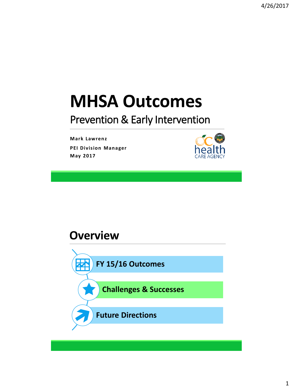# **MHSA Outcomes**

#### Prevention & Early Intervention

**Mark Lawrenz PEI Division Manager May 2017**



#### **Overview**

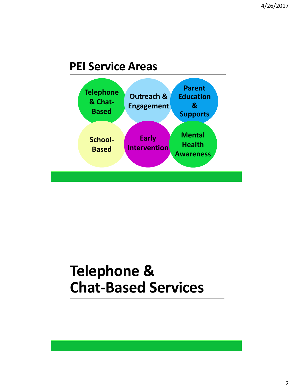#### **PEI Service Areas**



### **Telephone & Chat-Based Services**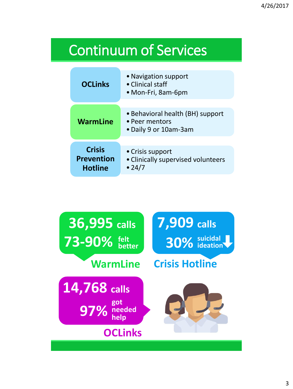### Continuum of Services

| <b>OCLinks</b>                                       | • Navigation support<br>• Clinical staff<br>• Mon-Fri, 8am-6pm              |
|------------------------------------------------------|-----------------------------------------------------------------------------|
|                                                      |                                                                             |
| <b>WarmLine</b>                                      | • Behavioral health (BH) support<br>• Peer mentors<br>• Daily 9 or 10am-3am |
|                                                      |                                                                             |
| <b>Crisis</b><br><b>Prevention</b><br><b>Hotline</b> | • Crisis support<br>· Clinically supervised volunteers<br>• 24/7            |

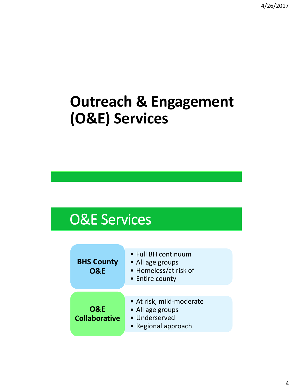### **Outreach & Engagement (O&E) Services**

### O&E Services

| <b>BHS County</b><br><b>O&amp;E</b>    | • Full BH continuum<br>• All age groups<br>• Homeless/at risk of<br>• Entire county  |
|----------------------------------------|--------------------------------------------------------------------------------------|
| <b>O&amp;E</b><br><b>Collaborative</b> | • At risk, mild-moderate<br>• All age groups<br>• Underserved<br>• Regional approach |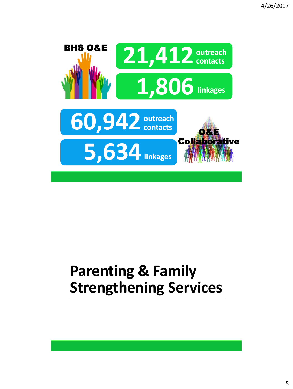

## **Parenting & Family Strengthening Services**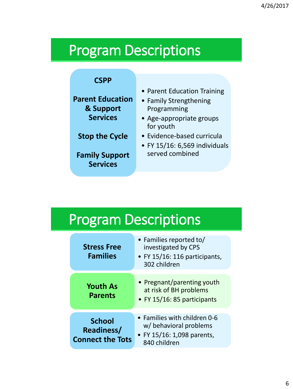#### Program Descriptions

#### **CSPP**

**Parent Education & Support Services**

#### **Stop the Cycle**

**Family Support Services**

- Parent Education Training
- Family Strengthening Programming
- Age-appropriate groups for youth
- Evidence-based curricula
- FY 15/16: 6,569 individuals served combined

## Program Descriptions

| <b>Stress Free</b><br><b>Families</b>                         | • Families reported to/<br>investigated by CPS<br>• FY 15/16: 116 participants,<br>302 children      |
|---------------------------------------------------------------|------------------------------------------------------------------------------------------------------|
| <b>Youth As</b><br><b>Parents</b>                             | • Pregnant/parenting youth<br>at risk of BH problems<br>• FY 15/16: 85 participants                  |
| <b>School</b><br><b>Readiness/</b><br><b>Connect the Tots</b> | • Families with children 0-6<br>w/ behavioral problems<br>• FY 15/16: 1,098 parents,<br>840 children |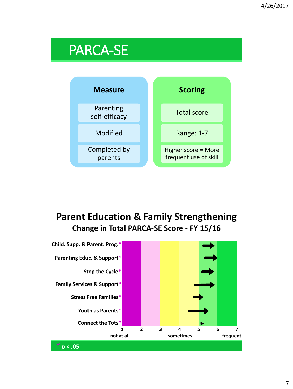#### PARCA-SE



#### **Parent Education & Family Strengthening Change in Total PARCA-SE Score - FY 15/16**

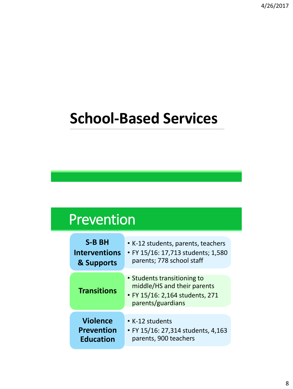### **School-Based Services**

#### Prevention

| <b>S-B BH</b>        | • K-12 students, parents, teachers                                                                                 |
|----------------------|--------------------------------------------------------------------------------------------------------------------|
| <b>Interventions</b> | • FY 15/16: 17,713 students; 1,580                                                                                 |
| & Supports           | parents; 778 school staff                                                                                          |
| <b>Transitions</b>   | • Students transitioning to<br>middle/HS and their parents<br>• FY 15/16: 2,164 students, 271<br>parents/guardians |
| <b>Violence</b>      | • K-12 students                                                                                                    |
| <b>Prevention</b>    | • FY 15/16: 27,314 students, 4,163                                                                                 |
| <b>Education</b>     | parents, 900 teachers                                                                                              |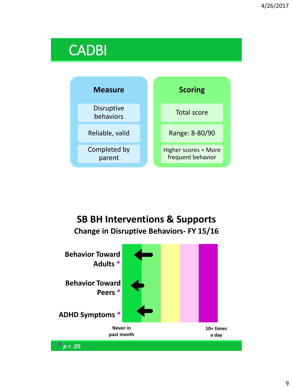#### CADBI



#### **SB BH Interventions & Supports Change in Disruptive Behaviors- FY 15/16**

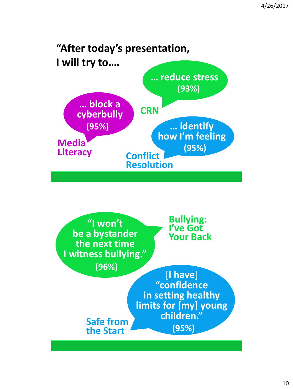

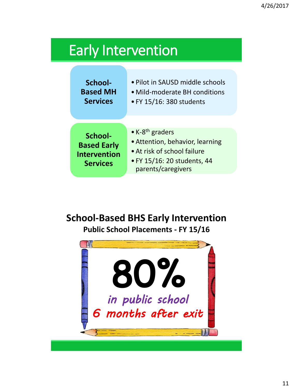#### Early Intervention

| School-                                                                 | • Pilot in SAUSD middle schools                                                                                                                    |
|-------------------------------------------------------------------------|----------------------------------------------------------------------------------------------------------------------------------------------------|
| <b>Based MH</b>                                                         | • Mild-moderate BH conditions                                                                                                                      |
| <b>Services</b>                                                         | • FY 15/16: 380 students                                                                                                                           |
| School-<br><b>Based Early</b><br><b>Intervention</b><br><b>Services</b> | • K-8 <sup>th</sup> graders<br>• Attention, behavior, learning<br>• At risk of school failure<br>• FY 15/16: 20 students, 44<br>parents/caregivers |

#### **School-Based BHS Early Intervention**

**Public School Placements - FY 15/16**

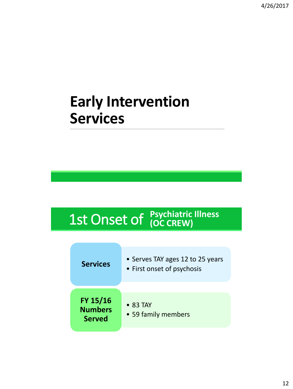#### **Early Intervention Services**

# 1st Onset of **Psychiatric Illness**

| <b>Services</b>                             | • Serves TAY ages 12 to 25 years<br>• First onset of psychosis |
|---------------------------------------------|----------------------------------------------------------------|
| FY 15/16<br><b>Numbers</b><br><b>Served</b> | $\bullet$ 83 TAY<br>• 59 family members                        |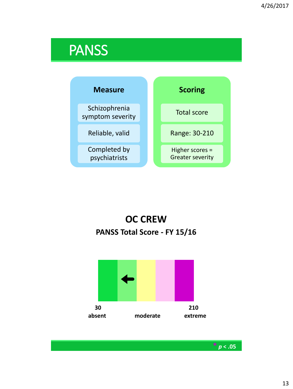#### **PANSS**



#### **OC CREW PANSS Total Score - FY 15/16**



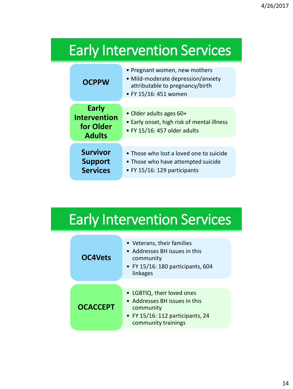## Early Intervention Services

| <b>OCPPW</b>                                               | • Pregnant women, new mothers<br>· Mild-moderate depression/anxiety<br>attributable to pregnancy/birth<br>• FY 15/16: 451 women |
|------------------------------------------------------------|---------------------------------------------------------------------------------------------------------------------------------|
| Early<br><b>Intervention</b><br>for Older<br><b>Adults</b> | • Older adults ages 60+<br>• Early onset, high risk of mental illness<br>$\bullet$ FY 15/16: 457 older adults                   |
| <b>Survivor</b><br><b>Support</b><br><b>Services</b>       | • Those who lost a loved one to suicide<br>• Those who have attempted suicide<br>• FY 15/16: 129 participants                   |

#### Early Intervention Services

| <b>OC4Vets</b>  | • Veterans, their families<br>• Addresses BH issues in this<br>community<br>$\bullet$ FY 15/16: 180 participants, 604<br>linkages   |
|-----------------|-------------------------------------------------------------------------------------------------------------------------------------|
| <b>OCACCEPT</b> | • LGBTIQ, their loved ones<br>• Addresses BH issues in this<br>community<br>• FY 15/16: 112 participants, 24<br>community trainings |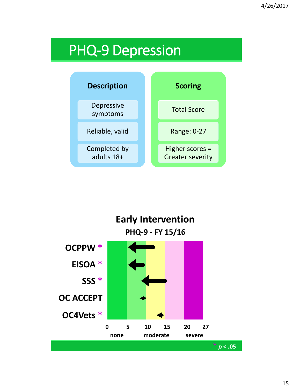### PHQ-9 Depression



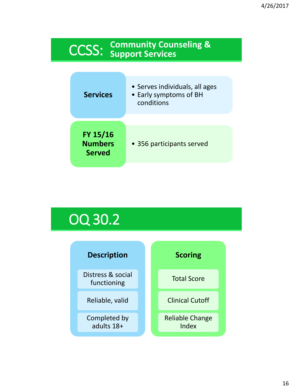## CCSS: **Community Counseling & Support Services**

| <b>Services</b>                             | • Serves individuals, all ages<br>• Early symptoms of BH<br>conditions |
|---------------------------------------------|------------------------------------------------------------------------|
| FY 15/16<br><b>Numbers</b><br><b>Served</b> | • 356 participants served                                              |

### OQ 30.2

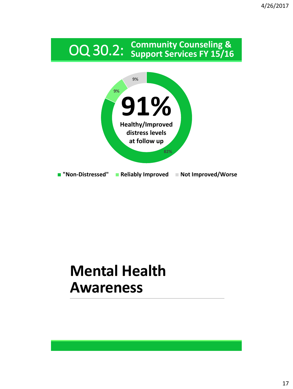## OQ 30.2: **Community Counseling & Support Services FY 15/16**



### **Mental Health Awareness**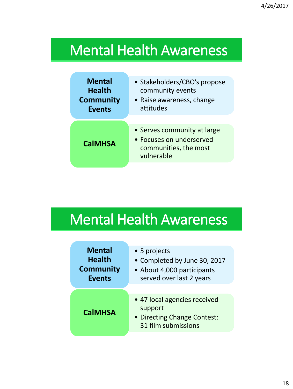### Mental Health Awareness

| <b>Mental</b>    | • Stakeholders/CBO's propose                                                                   |
|------------------|------------------------------------------------------------------------------------------------|
| <b>Health</b>    | community events                                                                               |
| <b>Community</b> | • Raise awareness, change                                                                      |
| <b>Events</b>    | attitudes                                                                                      |
| <b>CalMHSA</b>   | • Serves community at large<br>• Focuses on underserved<br>communities, the most<br>vulnerable |

## Mental Health Awareness

| <b>Mental</b>    | • 5 projects                                                                                  |
|------------------|-----------------------------------------------------------------------------------------------|
| <b>Health</b>    | • Completed by June 30, 2017                                                                  |
| <b>Community</b> | • About 4,000 participants                                                                    |
| <b>Events</b>    | served over last 2 years                                                                      |
| <b>CalMHSA</b>   | • 47 local agencies received<br>support<br>• Directing Change Contest:<br>31 film submissions |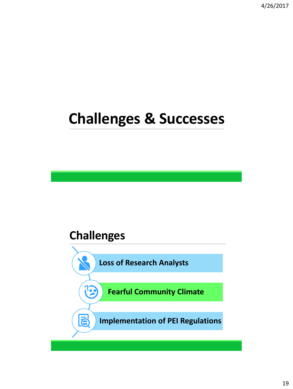4/26/2017

### **Challenges & Successes**

#### **Challenges**

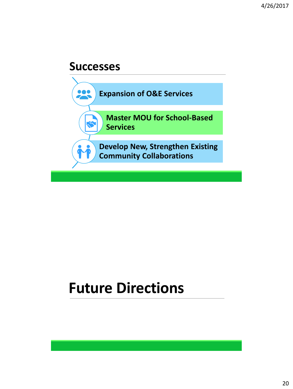#### **Successes**



#### **Future Directions**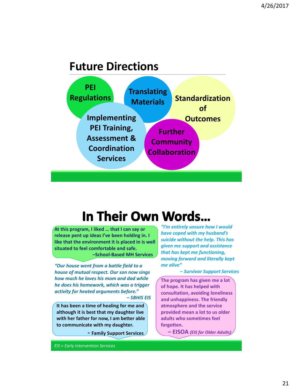#### **Future Directions**



#### In Their Own Words...

**At this program, I liked … that I can say or release pent up ideas I've been holding in. I like that the environment it is placed in is well situated to feel comfortable and safe. –School-Based MH Services**

*"Our house went from a battle field to a house of mutual respect. Our son now sings how much he loves his mom and dad while he does his homework, which was a trigger activity for heated arguments before." – SBHIS EIS*

**It has been a time of healing for me and although it is best that my daughter live with her father for now, I am better able to communicate with my daughter.** 

**- Family Support Services**

*EIS = Early Intervention Services*

*"I'm entirely unsure how I would have coped with my husband's suicide without the help. This has given me support and assistance that has kept me functioning, moving forward and literally kept me alive"* 

*– Survivor Support Services*

**The program has given me a lot of hope. It has helped with consultation, avoiding loneliness and unhappiness. The friendly atmosphere and the service provided mean a lot to us older adults who sometimes feel forgotten.**

**– EISOA** *(EIS for Older Adults)*